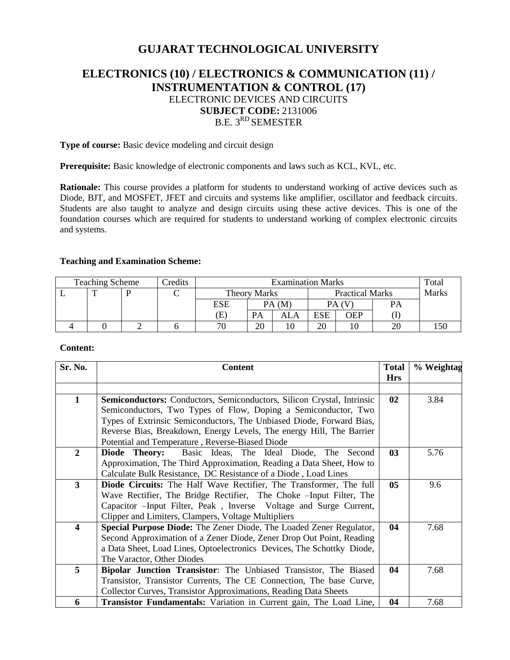# **GUJARAT TECHNOLOGICAL UNIVERSITY**

# **ELECTRONICS (10) / ELECTRONICS & COMMUNICATION (11) / INSTRUMENTATION & CONTROL (17)** ELECTRONIC DEVICES AND CIRCUITS **SUBJECT CODE:** 2131006 B.E. 3<sup>RD</sup> SEMESTER

**Type of course:** Basic device modeling and circuit design

**Prerequisite:** Basic knowledge of electronic components and laws such as KCL, KVL, etc.

**Rationale:** This course provides a platform for students to understand working of active devices such as Diode, BJT, and MOSFET, JFET and circuits and systems like amplifier, oscillator and feedback circuits. Students are also taught to analyze and design circuits using these active devices. This is one of the foundation courses which are required for students to understand working of complex electronic circuits and systems.

## **Teaching and Examination Scheme:**

| <b>Teaching Scheme</b> |              |  | Credits | <b>Examination Marks</b> |       |     |                        |     | Total |     |
|------------------------|--------------|--|---------|--------------------------|-------|-----|------------------------|-----|-------|-----|
|                        | $\mathbf{r}$ |  |         | <b>Theory Marks</b>      |       |     | <b>Practical Marks</b> |     | Marks |     |
|                        |              |  |         | ESE                      | PA(M) |     |                        |     | PA    |     |
|                        |              |  |         | Œ,                       | PA    | ALA | <b>ESE</b>             | OEP |       |     |
|                        |              |  |         | $\overline{\phantom{a}}$ | 20    |     | 20                     |     | 20    | .50 |

### **Content:**

| Sr. No.                 | <b>Content</b>                                                                                                                                                                                                                                                               | <b>Total</b> | % Weightag |
|-------------------------|------------------------------------------------------------------------------------------------------------------------------------------------------------------------------------------------------------------------------------------------------------------------------|--------------|------------|
|                         |                                                                                                                                                                                                                                                                              | <b>Hrs</b>   |            |
|                         |                                                                                                                                                                                                                                                                              |              |            |
| 1                       | <b>Semiconductors:</b> Conductors, Semiconductors, Silicon Crystal, Intrinsic<br>Semiconductors, Two Types of Flow, Doping a Semiconductor, Two                                                                                                                              | 02           | 3.84       |
|                         | Types of Extrinsic Semiconductors, The Unbiased Diode, Forward Bias,<br>Reverse Bias, Breakdown, Energy Levels, The energy Hill, The Barrier<br>Potential and Temperature, Reverse-Biased Diode                                                                              |              |            |
| $\overline{2}$          | Basic Ideas, The Ideal Diode, The<br>Diode Theory:<br>Second<br>Approximation, The Third Approximation, Reading a Data Sheet, How to<br>Calculate Bulk Resistance, DC Resistance of a Diode, Load Lines                                                                      | 03           | 5.76       |
| $3^{\circ}$             | <b>Diode Circuits:</b> The Half Wave Rectifier, The Transformer, The full<br>Wave Rectifier, The Bridge Rectifier, The Choke - Input Filter, The<br>Capacitor –Input Filter, Peak, Inverse Voltage and Surge Current,<br>Clipper and Limiters, Clampers, Voltage Multipliers | 05           | 9.6        |
| $\overline{\mathbf{4}}$ | Special Purpose Diode: The Zener Diode, The Loaded Zener Regulator,<br>Second Approximation of a Zener Diode, Zener Drop Out Point, Reading<br>a Data Sheet, Load Lines, Optoelectronics Devices, The Schottky Diode,<br>The Varactor, Other Diodes                          | 04           | 7.68       |
| 5                       | Bipolar Junction Transistor: The Unbiased Transistor, The Biased<br>Transistor, Transistor Currents, The CE Connection, The base Curve,<br><b>Collector Curves, Transistor Approximations, Reading Data Sheets</b>                                                           | 04           | 7.68       |
| 6                       | <b>Transistor Fundamentals:</b> Variation in Current gain, The Load Line,                                                                                                                                                                                                    | 04           | 7.68       |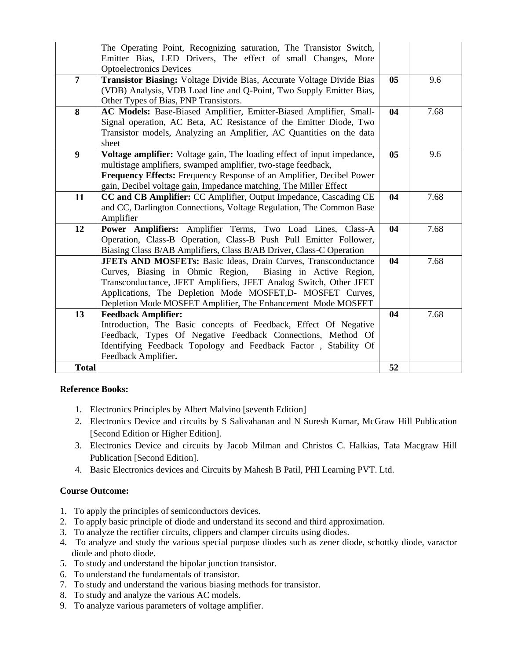|                | The Operating Point, Recognizing saturation, The Transistor Switch,<br>Emitter Bias, LED Drivers, The effect of small Changes, More   |                |      |
|----------------|---------------------------------------------------------------------------------------------------------------------------------------|----------------|------|
|                | <b>Optoelectronics Devices</b>                                                                                                        |                |      |
| $\overline{7}$ | Transistor Biasing: Voltage Divide Bias, Accurate Voltage Divide Bias                                                                 | 0 <sub>5</sub> | 9.6  |
|                | (VDB) Analysis, VDB Load line and Q-Point, Two Supply Emitter Bias,                                                                   |                |      |
|                | Other Types of Bias, PNP Transistors.                                                                                                 |                |      |
| 8              | AC Models: Base-Biased Amplifier, Emitter-Biased Amplifier, Small-                                                                    | 04             | 7.68 |
|                | Signal operation, AC Beta, AC Resistance of the Emitter Diode, Two                                                                    |                |      |
|                | Transistor models, Analyzing an Amplifier, AC Quantities on the data                                                                  |                |      |
|                | sheet                                                                                                                                 |                |      |
| 9              | Voltage amplifier: Voltage gain, The loading effect of input impedance,                                                               | 0 <sub>5</sub> | 9.6  |
|                | multistage amplifiers, swamped amplifier, two-stage feedback,                                                                         |                |      |
|                | Frequency Effects: Frequency Response of an Amplifier, Decibel Power                                                                  |                |      |
|                | gain, Decibel voltage gain, Impedance matching, The Miller Effect                                                                     |                |      |
| 11             | CC and CB Amplifier: CC Amplifier, Output Impedance, Cascading CE                                                                     | 04             | 7.68 |
|                | and CC, Darlington Connections, Voltage Regulation, The Common Base                                                                   |                |      |
|                | Amplifier                                                                                                                             |                |      |
| 12             | Power Amplifiers: Amplifier Terms, Two Load Lines, Class-A<br>Operation, Class-B Operation, Class-B Push Pull Emitter Follower,       | 04             | 7.68 |
|                |                                                                                                                                       |                |      |
|                | Biasing Class B/AB Amplifiers, Class B/AB Driver, Class-C Operation<br>JFETs AND MOSFETs: Basic Ideas, Drain Curves, Transconductance | 04             | 7.68 |
|                | Curves, Biasing in Ohmic Region, Biasing in Active Region,                                                                            |                |      |
|                | Transconductance, JFET Amplifiers, JFET Analog Switch, Other JFET                                                                     |                |      |
|                | Applications, The Depletion Mode MOSFET, D- MOSFET Curves,                                                                            |                |      |
|                | Depletion Mode MOSFET Amplifier, The Enhancement Mode MOSFET                                                                          |                |      |
| 13             | <b>Feedback Amplifier:</b>                                                                                                            | 04             | 7.68 |
|                | Introduction, The Basic concepts of Feedback, Effect Of Negative                                                                      |                |      |
|                | Feedback, Types Of Negative Feedback Connections, Method Of                                                                           |                |      |
|                | Identifying Feedback Topology and Feedback Factor, Stability Of                                                                       |                |      |
|                | Feedback Amplifier.                                                                                                                   |                |      |
| <b>Total</b>   |                                                                                                                                       | 52             |      |
|                |                                                                                                                                       |                |      |

## **Reference Books:**

- 1. Electronics Principles by Albert Malvino [seventh Edition]
- 2. Electronics Device and circuits by S Salivahanan and N Suresh Kumar, McGraw Hill Publication [Second Edition or Higher Edition].
- 3. Electronics Device and circuits by Jacob Milman and Christos C. Halkias, Tata Macgraw Hill Publication [Second Edition].
- 4. Basic Electronics devices and Circuits by Mahesh B Patil, PHI Learning PVT. Ltd.

# **Course Outcome:**

- 1. To apply the principles of semiconductors devices.
- 2. To apply basic principle of diode and understand its second and third approximation.
- 3. To analyze the rectifier circuits, clippers and clamper circuits using diodes.
- 4. To analyze and study the various special purpose diodes such as zener diode, schottky diode, varactor diode and photo diode.
- 5. To study and understand the bipolar junction transistor.
- 6. To understand the fundamentals of transistor.
- 7. To study and understand the various biasing methods for transistor.
- 8. To study and analyze the various AC models.
- 9. To analyze various parameters of voltage amplifier.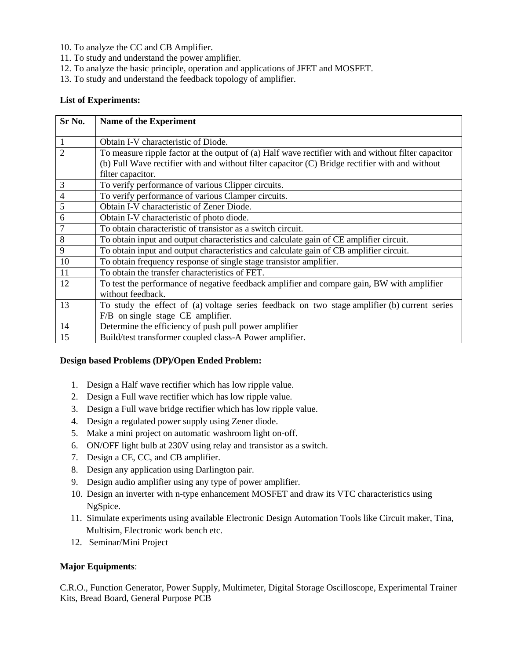- 10. To analyze the CC and CB Amplifier.
- 11. To study and understand the power amplifier.
- 12. To analyze the basic principle, operation and applications of JFET and MOSFET.
- 13. To study and understand the feedback topology of amplifier.

### **List of Experiments:**

| Sr No.         | <b>Name of the Experiment</b>                                                                       |  |  |  |
|----------------|-----------------------------------------------------------------------------------------------------|--|--|--|
| 1              | Obtain I-V characteristic of Diode.                                                                 |  |  |  |
| $\overline{2}$ | To measure ripple factor at the output of (a) Half wave rectifier with and without filter capacitor |  |  |  |
|                | (b) Full Wave rectifier with and without filter capacitor (C) Bridge rectifier with and without     |  |  |  |
|                | filter capacitor.                                                                                   |  |  |  |
| 3              | To verify performance of various Clipper circuits.                                                  |  |  |  |
| $\overline{4}$ | To verify performance of various Clamper circuits.                                                  |  |  |  |
| 5              | Obtain I-V characteristic of Zener Diode.                                                           |  |  |  |
| 6              | Obtain I-V characteristic of photo diode.                                                           |  |  |  |
| 7              | To obtain characteristic of transistor as a switch circuit.                                         |  |  |  |
| 8              | To obtain input and output characteristics and calculate gain of CE amplifier circuit.              |  |  |  |
| 9              | To obtain input and output characteristics and calculate gain of CB amplifier circuit.              |  |  |  |
| 10             | To obtain frequency response of single stage transistor amplifier.                                  |  |  |  |
| 11             | To obtain the transfer characteristics of FET.                                                      |  |  |  |
| 12             | To test the performance of negative feedback amplifier and compare gain, BW with amplifier          |  |  |  |
|                | without feedback.                                                                                   |  |  |  |
| 13             | To study the effect of (a) voltage series feedback on two stage amplifier (b) current series        |  |  |  |
|                | F/B on single stage CE amplifier.                                                                   |  |  |  |
| 14             | Determine the efficiency of push pull power amplifier                                               |  |  |  |
| 15             | Build/test transformer coupled class-A Power amplifier.                                             |  |  |  |

#### **Design based Problems (DP)/Open Ended Problem:**

- 1. Design a Half wave rectifier which has low ripple value.
- 2. Design a Full wave rectifier which has low ripple value.
- 3. Design a Full wave bridge rectifier which has low ripple value.
- 4. Design a regulated power supply using Zener diode.
- 5. Make a mini project on automatic washroom light on-off.
- 6. ON/OFF light bulb at 230V using relay and transistor as a switch.
- 7. Design a CE, CC, and CB amplifier.
- 8. Design any application using Darlington pair.
- 9. Design audio amplifier using any type of power amplifier.
- 10. Design an inverter with n-type enhancement MOSFET and draw its VTC characteristics using NgSpice.
- 11. Simulate experiments using available Electronic Design Automation Tools like Circuit maker, Tina, Multisim, Electronic work bench etc.
- 12. Seminar/Mini Project

## **Major Equipments**:

C.R.O., Function Generator, Power Supply, Multimeter, Digital Storage Oscilloscope, Experimental Trainer Kits, Bread Board, General Purpose PCB